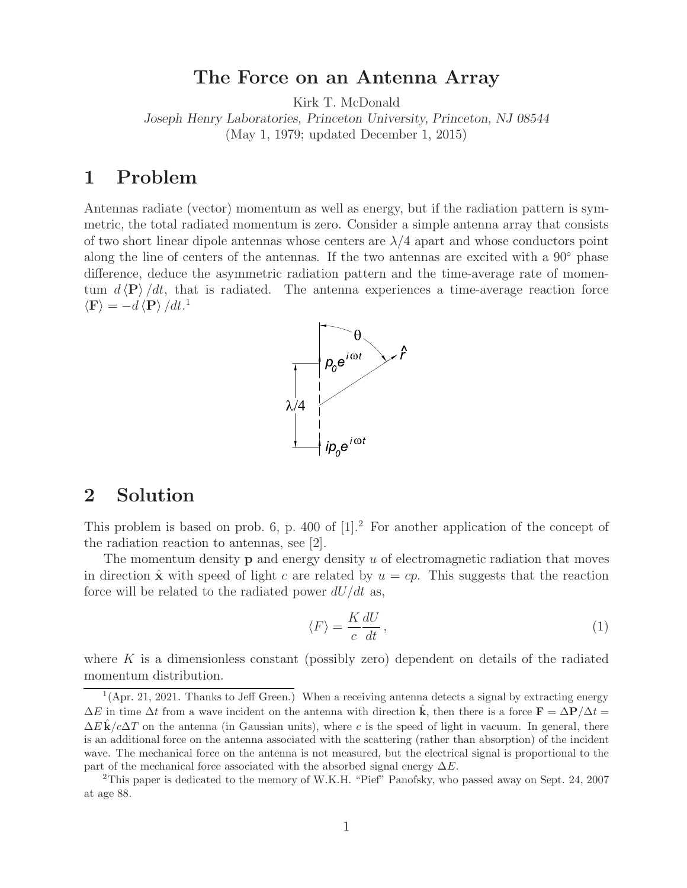## **The Force on an Antenna Array**

Kirk T. McDonald

*Joseph Henry Laboratories, Princeton University, Princeton, NJ 08544* (May 1, 1979; updated December 1, 2015)

## **1 Problem**

Antennas radiate (vector) momentum as well as energy, but if the radiation pattern is symmetric, the total radiated momentum is zero. Consider a simple antenna array that consists of two short linear dipole antennas whose centers are  $\lambda/4$  apart and whose conductors point along the line of centers of the antennas. If the two antennas are excited with a 90◦ phase difference, deduce the asymmetric radiation pattern and the time-average rate of momentum  $d \langle P \rangle / dt$ , that is radiated. The antenna experiences a time-average reaction force  $\langle \mathbf{F} \rangle = -d \langle \mathbf{P} \rangle /dt$ <sup>1</sup>



## **2 Solution**

This problem is based on prob. 6, p. 400 of  $[1]<sup>2</sup>$  For another application of the concept of the radiation reaction to antennas, see [2].

The momentum density **p** and energy density u of electromagnetic radiation that moves in direction  $\hat{\mathbf{x}}$  with speed of light c are related by  $u = cp$ . This suggests that the reaction force will be related to the radiated power  $dU/dt$  as,

$$
\langle F \rangle = \frac{K}{c} \frac{dU}{dt},\qquad(1)
$$

where  $K$  is a dimensionless constant (possibly zero) dependent on details of the radiated momentum distribution.

 $1$ (Apr. 21, 2021. Thanks to Jeff Green.) When a receiving antenna detects a signal by extracting energy  $\Delta E$  in time  $\Delta t$  from a wave incident on the antenna with direction **k**, then there is a force  $\mathbf{F} = \Delta \mathbf{P}/\Delta t =$  $\Delta E$ **k** $/c\Delta T$  on the antenna (in Gaussian units), where c is the speed of light in vacuum. In general, there is an additional force on the antenna associated with the scattering (rather than absorption) of the incident wave. The mechanical force on the antenna is not measured, but the electrical signal is proportional to the part of the mechanical force associated with the absorbed signal energy  $\Delta E$ .<br><sup>2</sup>This paper is dedicated to the memory of W.K.H. "Pief" Panofsky, who passed away on Sept. 24, 2007

at age 88.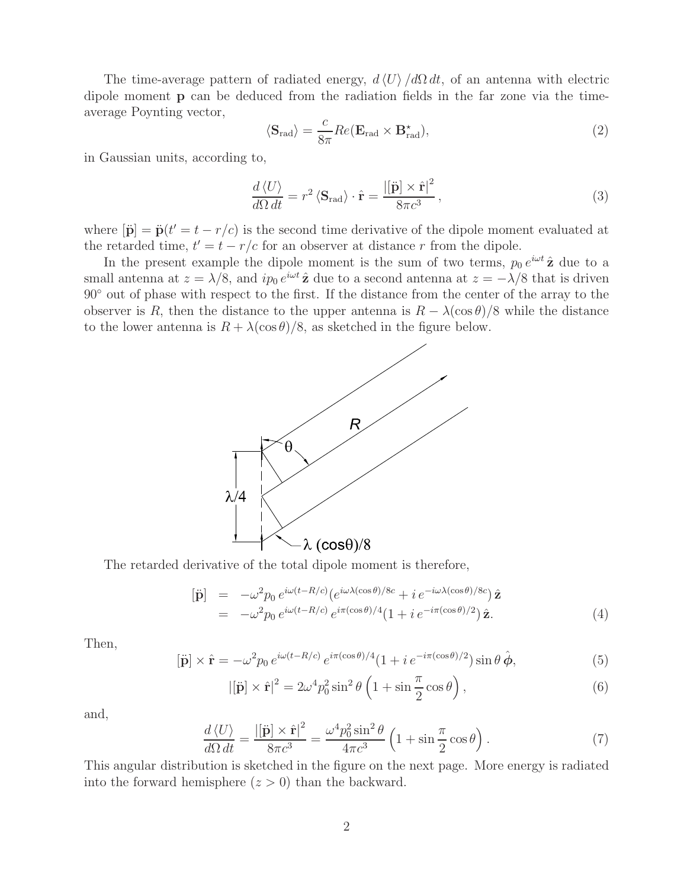The time-average pattern of radiated energy,  $d\langle U\rangle/d\Omega dt$ , of an antenna with electric dipole moment **p** can be deduced from the radiation fields in the far zone via the timeaverage Poynting vector,

$$
\langle \mathbf{S}_{\text{rad}} \rangle = \frac{c}{8\pi} Re(\mathbf{E}_{\text{rad}} \times \mathbf{B}_{\text{rad}}^{\star}), \qquad (2)
$$

in Gaussian units, according to,

$$
\frac{d\langle U \rangle}{d\Omega dt} = r^2 \langle \mathbf{S}_{\text{rad}} \rangle \cdot \hat{\mathbf{r}} = \frac{|[\ddot{\mathbf{p}}] \times \hat{\mathbf{r}}|^2}{8\pi c^3},\tag{3}
$$

where  $|\ddot{\mathbf{p}}| = \ddot{\mathbf{p}}(t' = t - r/c)$  is the second time derivative of the dipole moment evaluated at the retarded time,  $t' = t - r/c$  for an observer at distance r from the dipole.

In the present example the dipole moment is the sum of two terms,  $p_0 e^{i\omega t} \hat{z}$  due to a small antenna at  $z = \lambda/8$ , and  $ip_0 e^{i\omega t} \hat{z}$  due to a second antenna at  $z = -\lambda/8$  that is driven 90◦ out of phase with respect to the first. If the distance from the center of the array to the observer is R, then the distance to the upper antenna is  $R - \lambda(\cos \theta)/8$  while the distance to the lower antenna is  $R + \lambda(\cos \theta)/8$ , as sketched in the figure below.



The retarded derivative of the total dipole moment is therefore,

$$
\begin{array}{rcl}\n[\ddot{\mathbf{p}}] & = & -\omega^2 p_0 \, e^{i\omega(t - R/c)} \big( e^{i\omega\lambda(\cos\theta)/8c} + i \, e^{-i\omega\lambda(\cos\theta)/8c} \big) \hat{\mathbf{z}} \\
& = & -\omega^2 p_0 \, e^{i\omega(t - R/c)} \, e^{i\pi(\cos\theta)/4} \big( 1 + i \, e^{-i\pi(\cos\theta)/2} \big) \hat{\mathbf{z}}.\n\end{array} \tag{4}
$$

Then,

$$
[\ddot{\mathbf{p}}] \times \hat{\mathbf{r}} = -\omega^2 p_0 e^{i\omega(t - R/c)} e^{i\pi(\cos\theta)/4} (1 + i e^{-i\pi(\cos\theta)/2}) \sin\theta \,\hat{\boldsymbol{\phi}},\tag{5}
$$

$$
|[\ddot{\mathbf{p}}] \times \hat{\mathbf{r}}|^2 = 2\omega^4 p_0^2 \sin^2 \theta \left(1 + \sin \frac{\pi}{2} \cos \theta\right),\tag{6}
$$

and,

$$
\frac{d\langle U\rangle}{d\Omega dt} = \frac{\left|[\ddot{\mathbf{p}}] \times \hat{\mathbf{r}}\right|^2}{8\pi c^3} = \frac{\omega^4 p_0^2 \sin^2 \theta}{4\pi c^3} \left(1 + \sin\frac{\pi}{2}\cos\theta\right). \tag{7}
$$

This angular distribution is sketched in the figure on the next page. More energy is radiated into the forward hemisphere  $(z > 0)$  than the backward.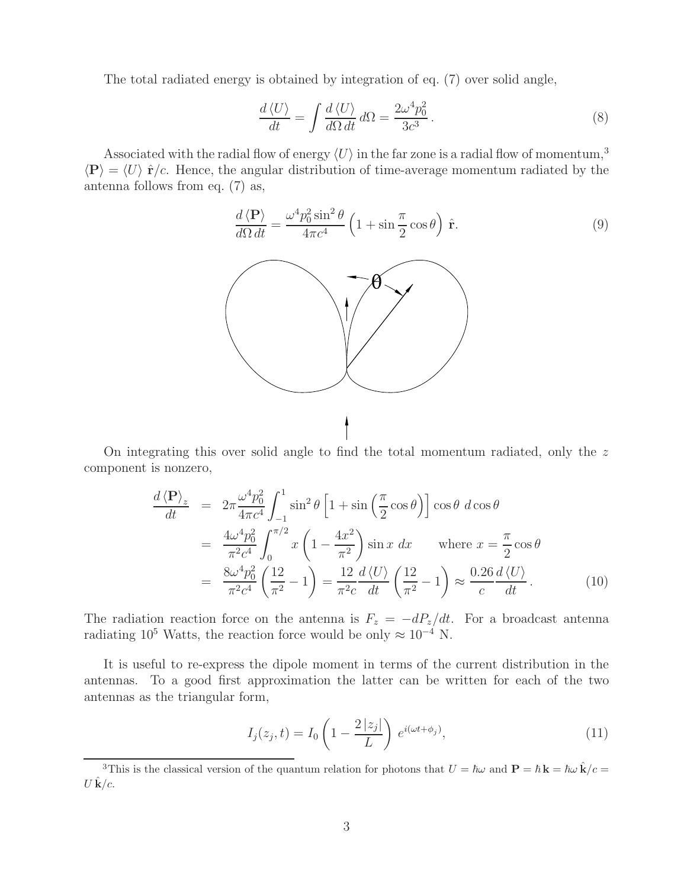The total radiated energy is obtained by integration of eq. (7) over solid angle,

$$
\frac{d\langle U\rangle}{dt} = \int \frac{d\langle U\rangle}{d\Omega \, dt} \, d\Omega = \frac{2\omega^4 p_0^2}{3c^3} \,. \tag{8}
$$

Associated with the radial flow of energy  $\langle U \rangle$  in the far zone is a radial flow of momentum,<sup>3</sup>  $\langle P \rangle = \langle U \rangle \hat{\mathbf{r}}/c$ . Hence, the angular distribution of time-average momentum radiated by the antenna follows from eq. (7) as,

$$
\frac{d\left\langle \mathbf{P} \right\rangle}{d\Omega dt} = \frac{\omega^4 p_0^2 \sin^2 \theta}{4\pi c^4} \left( 1 + \sin \frac{\pi}{2} \cos \theta \right) \hat{\mathbf{r}}.\tag{9}
$$



On integrating this over solid angle to find the total momentum radiated, only the z component is nonzero,

$$
\frac{d\langle \mathbf{P} \rangle_z}{dt} = 2\pi \frac{\omega^4 p_0^2}{4\pi c^4} \int_{-1}^1 \sin^2 \theta \left[ 1 + \sin\left(\frac{\pi}{2}\cos\theta\right) \right] \cos\theta \, d\cos\theta
$$
\n
$$
= \frac{4\omega^4 p_0^2}{\pi^2 c^4} \int_0^{\pi/2} x \left( 1 - \frac{4x^2}{\pi^2} \right) \sin x \, dx \quad \text{where } x = \frac{\pi}{2}\cos\theta
$$
\n
$$
= \frac{8\omega^4 p_0^2}{\pi^2 c^4} \left( \frac{12}{\pi^2} - 1 \right) = \frac{12}{\pi^2 c} \frac{d\langle U \rangle}{dt} \left( \frac{12}{\pi^2} - 1 \right) \approx \frac{0.26}{c} \frac{d\langle U \rangle}{dt}.
$$
\n(10)

The radiation reaction force on the antenna is  $F_z = -dP_z/dt$ . For a broadcast antenna radiating 10<sup>5</sup> Watts, the reaction force would be only  $\approx 10^{-4}$  N.

It is useful to re-express the dipole moment in terms of the current distribution in the antennas. To a good first approximation the latter can be written for each of the two antennas as the triangular form,

$$
I_j(z_j, t) = I_0 \left( 1 - \frac{2|z_j|}{L} \right) e^{i(\omega t + \phi_j)}, \tag{11}
$$

<sup>&</sup>lt;sup>3</sup>This is the classical version of the quantum relation for photons that  $U = \hbar \omega$  and  $\mathbf{P} = \hbar \mathbf{k} = \hbar \omega \hat{\mathbf{k}}/c =$  $U \hat{\mathbf{k}}/c$ .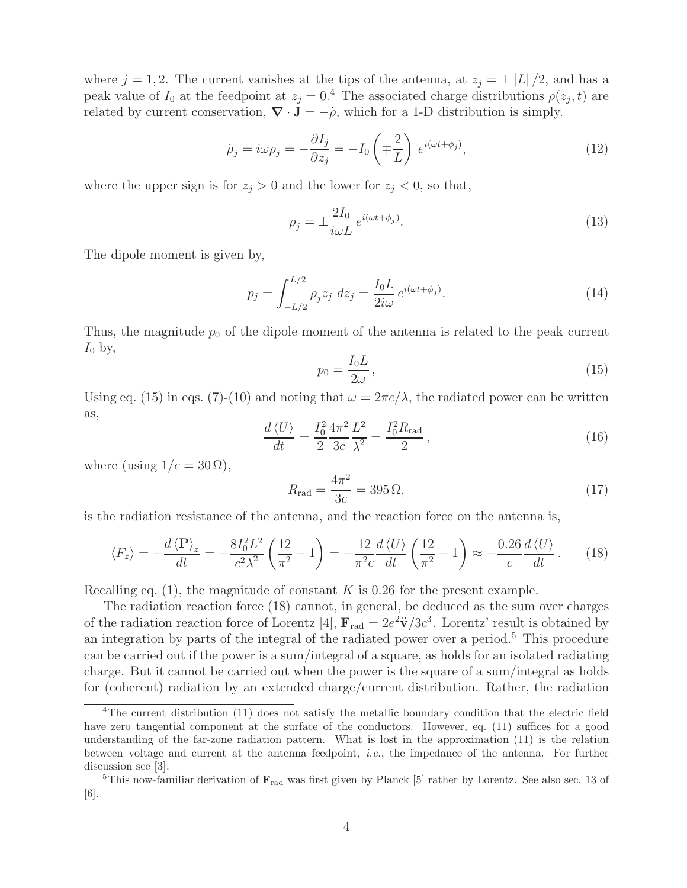where  $j = 1, 2$ . The current vanishes at the tips of the antenna, at  $z_j = \pm |L|/2$ , and has a peak value of  $I_0$  at the feedpoint at  $z_j = 0.4$  The associated charge distributions  $\rho(z_j, t)$  are related by current conservation,  $\nabla \cdot \mathbf{J} = -\dot{\rho}$ , which for a 1-D distribution is simply.

$$
\dot{\rho}_j = i\omega \rho_j = -\frac{\partial I_j}{\partial z_j} = -I_0 \left( \mp \frac{2}{L} \right) e^{i(\omega t + \phi_j)},\tag{12}
$$

where the upper sign is for  $z_j > 0$  and the lower for  $z_j < 0$ , so that,

$$
\rho_j = \pm \frac{2I_0}{i\omega L} e^{i(\omega t + \phi_j)}.
$$
\n(13)

The dipole moment is given by,

$$
p_j = \int_{-L/2}^{L/2} \rho_j z_j \ dz_j = \frac{I_0 L}{2i\omega} e^{i(\omega t + \phi_j)}.
$$
 (14)

Thus, the magnitude  $p_0$  of the dipole moment of the antenna is related to the peak current  $I_0$  by,

$$
p_0 = \frac{I_0 L}{2\omega},\tag{15}
$$

Using eq. (15) in eqs. (7)-(10) and noting that  $\omega = 2\pi c/\lambda$ , the radiated power can be written as,

$$
\frac{d\langle U \rangle}{dt} = \frac{I_0^2}{2} \frac{4\pi^2}{3c} \frac{L^2}{\lambda^2} = \frac{I_0^2 R_{\text{rad}}}{2},\tag{16}
$$

where (using  $1/c = 30 \Omega$ ),

$$
R_{\rm rad} = \frac{4\pi^2}{3c} = 395 \,\Omega,\tag{17}
$$

is the radiation resistance of the antenna, and the reaction force on the antenna is,

$$
\langle F_z \rangle = -\frac{d \langle \mathbf{P} \rangle_z}{dt} = -\frac{8I_0^2 L^2}{c^2 \lambda^2} \left( \frac{12}{\pi^2} - 1 \right) = -\frac{12}{\pi^2 c} \frac{d \langle U \rangle}{dt} \left( \frac{12}{\pi^2} - 1 \right) \approx -\frac{0.26}{c} \frac{d \langle U \rangle}{dt} \,. \tag{18}
$$

Recalling eq.  $(1)$ , the magnitude of constant K is 0.26 for the present example.

The radiation reaction force (18) cannot, in general, be deduced as the sum over charges of the radiation reaction force of Lorentz [4],  $\mathbf{F}_{rad} = 2e^2 \ddot{\mathbf{v}}/3c^3$ . Lorentz' result is obtained by an integration by parts of the integral of the radiated power over a period.<sup>5</sup> This procedure can be carried out if the power is a sum/integral of a square, as holds for an isolated radiating charge. But it cannot be carried out when the power is the square of a sum/integral as holds for (coherent) radiation by an extended charge/current distribution. Rather, the radiation

<sup>4</sup>The current distribution (11) does not satisfy the metallic boundary condition that the electric field have zero tangential component at the surface of the conductors. However, eq. (11) suffices for a good understanding of the far-zone radiation pattern. What is lost in the approximation (11) is the relation between voltage and current at the antenna feedpoint, *i.e.*, the impedance of the antenna. For further discussion see [3].

<sup>5</sup>This now-familiar derivation of **F**rad was first given by Planck [5] rather by Lorentz. See also sec. 13 of [6].